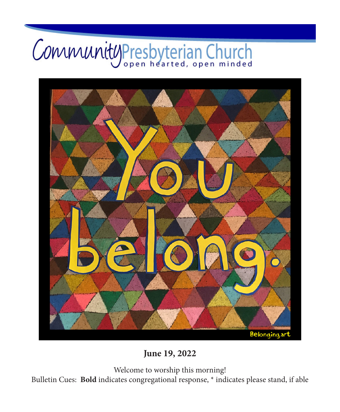# CommunityPresbyterian Church



**June 19, 2022**

Welcome to worship this morning!

Bulletin Cues: **Bold** indicates congregational response, \* indicates please stand, if able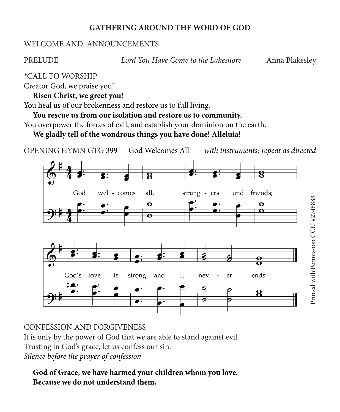#### **GATHERING AROUND THE WORD OF GOD**

#### WELCOME AND ANNOUNCEMENTS

PRELUDE *Lord You Have Come to the Lakeshore* Anna Blakesley

\*CALL TO WORSHIP

Creator God, we praise you!

**Risen Christ, we greet you!**

You heal us of our brokenness and restore us to full living.

**You rescue us from our isolation and restore us to community.**

You overpower the forces of evil, and establish your dominion on the earth.

**We gladly tell of the wondrous things you have done! Alleluia!**



## CONFESSION AND FORGIVENESS

It is only by the power of God that we are able to stand against evil.

Trusting in God's grace, let us confess our sin.

*Silence before the prayer of confession*

**God of Grace, we have harmed your children whom you love. Because we do not understand them,**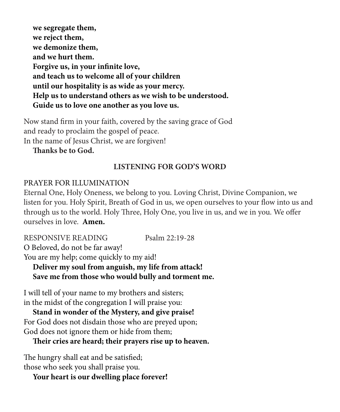**we segregate them, we reject them, we demonize them, and we hurt them. Forgive us, in your infinite love, and teach us to welcome all of your children until our hospitality is as wide as your mercy. Help us to understand others as we wish to be understood. Guide us to love one another as you love us.**

Now stand firm in your faith, covered by the saving grace of God and ready to proclaim the gospel of peace. In the name of Jesus Christ, we are forgiven!

**Thanks be to God.**

#### **LISTENING FOR GOD'S WORD**

#### PRAYER FOR ILLUMINATION

Eternal One, Holy Oneness, we belong to you. Loving Christ, Divine Companion, we listen for you. Holy Spirit, Breath of God in us, we open ourselves to your flow into us and through us to the world. Holy Three, Holy One, you live in us, and we in you. We offer ourselves in love. **Amen.**

RESPONSIVE READING Psalm 22:19-28 O Beloved, do not be far away! You are my help; come quickly to my aid! **Deliver my soul from anguish, my life from attack!**

**Save me from those who would bully and torment me.**

I will tell of your name to my brothers and sisters; in the midst of the congregation I will praise you:

**Stand in wonder of the Mystery, and give praise!** For God does not disdain those who are preyed upon; God does not ignore them or hide from them;

**Their cries are heard; their prayers rise up to heaven.**

The hungry shall eat and be satisfied; those who seek you shall praise you.

**Your heart is our dwelling place forever!**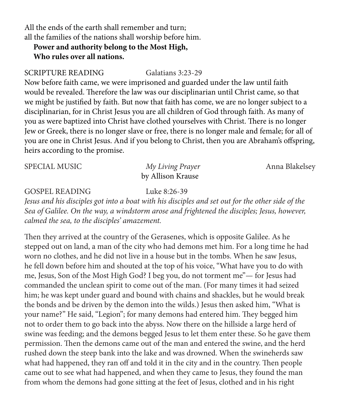All the ends of the earth shall remember and turn; all the families of the nations shall worship before him.

#### **Power and authority belong to the Most High, Who rules over all nations.**

#### SCRIPTURE READING Galatians 3:23-29

Now before faith came, we were imprisoned and guarded under the law until faith would be revealed. Therefore the law was our disciplinarian until Christ came, so that we might be justified by faith. But now that faith has come, we are no longer subject to a disciplinarian, for in Christ Jesus you are all children of God through faith. As many of you as were baptized into Christ have clothed yourselves with Christ. There is no longer Jew or Greek, there is no longer slave or free, there is no longer male and female; for all of you are one in Christ Jesus. And if you belong to Christ, then you are Abraham's offspring, heirs according to the promise.

| <b>SPECIAL MUSIC</b> | My Living Prayer  | Anna Blakelsey |
|----------------------|-------------------|----------------|
|                      | by Allison Krause |                |

#### GOSPEL READING Luke 8:26-39

*Jesus and his disciples got into a boat with his disciples and set out for the other side of the Sea of Galilee. On the way, a windstorm arose and frightened the disciples; Jesus, however, calmed the sea, to the disciples' amazement.*

Then they arrived at the country of the Gerasenes, which is opposite Galilee. As he stepped out on land, a man of the city who had demons met him. For a long time he had worn no clothes, and he did not live in a house but in the tombs. When he saw Jesus, he fell down before him and shouted at the top of his voice, "What have you to do with me, Jesus, Son of the Most High God? I beg you, do not torment me"— for Jesus had commanded the unclean spirit to come out of the man. (For many times it had seized him; he was kept under guard and bound with chains and shackles, but he would break the bonds and be driven by the demon into the wilds.) Jesus then asked him, "What is your name?" He said, "Legion"; for many demons had entered him. They begged him not to order them to go back into the abyss. Now there on the hillside a large herd of swine was feeding; and the demons begged Jesus to let them enter these. So he gave them permission. Then the demons came out of the man and entered the swine, and the herd rushed down the steep bank into the lake and was drowned. When the swineherds saw what had happened, they ran off and told it in the city and in the country. Then people came out to see what had happened, and when they came to Jesus, they found the man from whom the demons had gone sitting at the feet of Jesus, clothed and in his right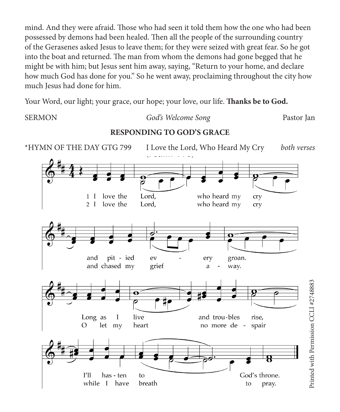mind. And they were afraid. Those who had seen it told them how the one who had been possessed by demons had been healed. Then all the people of the surrounding country of the Gerasenes asked Jesus to leave them; for they were seized with great fear. So he got into the boat and returned. The man from whom the demons had gone begged that he might be with him; but Jesus sent him away, saying, "Return to your home, and declare how much God has done for you." So he went away, proclaiming throughout the city how much Jesus had done for him.

Your Word, our light; your grace, our hope; your love, our life. **Thanks be to God.** 

#### SERMON *God's Welcome Song* Pastor Jan

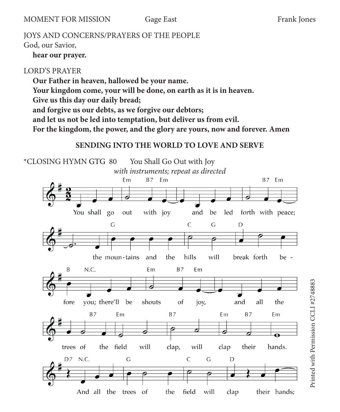MOMENT FOR MISSION Gage East Frank Jones

## JOYS AND CONCERNS/PRAYERS OF THE PEOPLE

God, our Savior,

**hear our prayer.**

## LORD'S PRAYER

**Our Father in heaven, hallowed be your name. Your kingdom come, your will be done, on earth as it is in heaven. Give us this day our daily bread; and forgive us our debts, as we forgive our debtors; and let us not be led into temptation, but deliver us from evil. For the kingdom, the power, and the glory are yours, now and forever. Amen**

## **SENDING INTO THE WORLD TO LOVE AND SERVE**

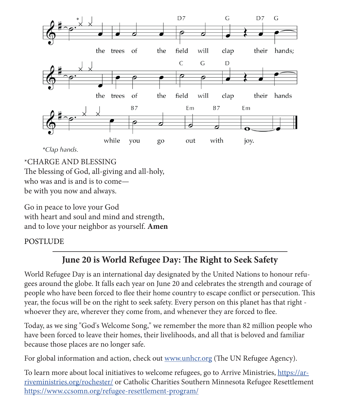

\*CHARGE AND BLESSING The blessing of God, all-giving and all-holy, who was and is and is to come—

be with you now and always.

Go in peace to love your God with heart and soul and mind and strength, and to love your neighbor as yourself. **Amen**

### POSTLUDE

## **June 20 is World Refugee Day: The Right to Seek Safety**

World Refugee Day is an international day designated by the United Nations to honour refugees around the globe. It falls each year on June 20 and celebrates the strength and courage of people who have been forced to flee their home country to escape conflict or persecution. This year, the focus will be on the right to seek safety. Every person on this planet has that right whoever they are, wherever they come from, and whenever they are forced to flee.

Today, as we sing "God's Welcome Song," we remember the more than 82 million people who have been forced to leave their homes, their livelihoods, and all that is beloved and familiar because those places are no longer safe.

For global information and action, check out [www.unhcr.org](http://www.unhcr.org) (The UN Refugee Agency).

To learn more about local initiatives to welcome refugees, go to Arrive Ministries, [https://ar](https://arriveministries.org/rochester/)[riveministries.org/rochester/](https://arriveministries.org/rochester/) or Catholic Charities Southern Minnesota Refugee Resettlement <https://www.ccsomn.org/refugee-resettlement-program/>